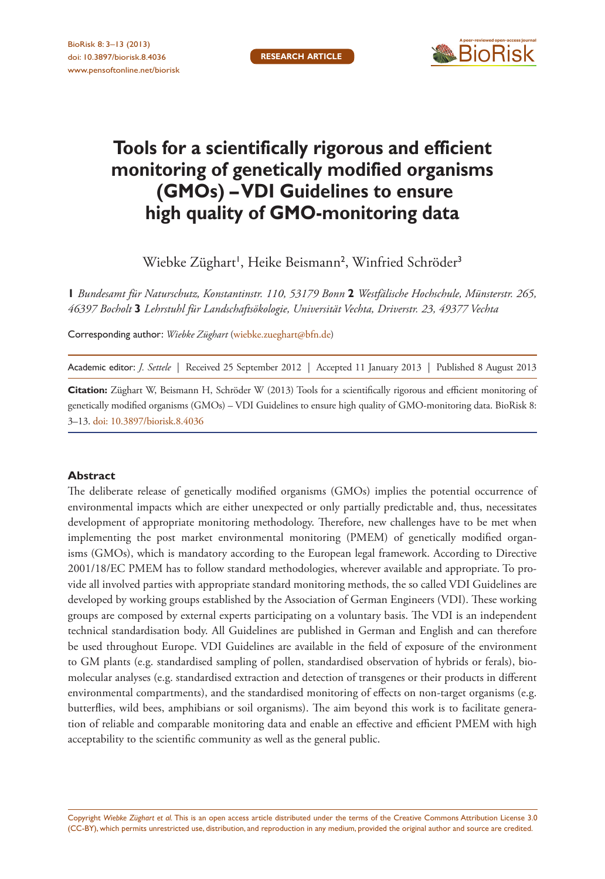

# **Tools for a scientifically rigorous and efficient monitoring of genetically modified organisms (GMOs) – VDI Guidelines to ensure high quality of GMO-monitoring data**

Wiebke Züghart', Heike Beismann<sup>2</sup>, Winfried Schröder<sup>3</sup>

**1** *Bundesamt für Naturschutz, Konstantinstr. 110, 53179 Bonn* **2** *Westfälische Hochschule, Münsterstr. 265, 46397 Bocholt* **3** *Lehrstuhl für Landschaftsökologie, Universität Vechta, Driverstr. 23, 49377 Vechta*

Corresponding author: *Wiebke Züghart* ([wiebke.zueghart@bfn.de\)](mailto:wiebke.zueghart@bfn.de)

Academic editor: *J. Settele* | Received 25 September 2012 | Accepted 11 January 2013 | Published 8 August 2013

**Citation:** Züghart W, Beismann H, Schröder W (2013) Tools for a scientifically rigorous and efficient monitoring of genetically modified organisms (GMOs) – VDI Guidelines to ensure high quality of GMO-monitoring data. BioRisk 8: 3–13. [doi: 10.3897/biorisk.8.4036](http://dx.doi.org/10.3897/biorisk.8.4036)

### **Abstract**

The deliberate release of genetically modified organisms (GMOs) implies the potential occurrence of environmental impacts which are either unexpected or only partially predictable and, thus, necessitates development of appropriate monitoring methodology. Therefore, new challenges have to be met when implementing the post market environmental monitoring (PMEM) of genetically modified organisms (GMOs), which is mandatory according to the European legal framework. According to Directive 2001/18/EC PMEM has to follow standard methodologies, wherever available and appropriate. To provide all involved parties with appropriate standard monitoring methods, the so called VDI Guidelines are developed by working groups established by the Association of German Engineers (VDI). These working groups are composed by external experts participating on a voluntary basis. The VDI is an independent technical standardisation body. All Guidelines are published in German and English and can therefore be used throughout Europe. VDI Guidelines are available in the field of exposure of the environment to GM plants (e.g. standardised sampling of pollen, standardised observation of hybrids or ferals), biomolecular analyses (e.g. standardised extraction and detection of transgenes or their products in different environmental compartments), and the standardised monitoring of effects on non-target organisms (e.g. butterflies, wild bees, amphibians or soil organisms). The aim beyond this work is to facilitate generation of reliable and comparable monitoring data and enable an effective and efficient PMEM with high acceptability to the scientific community as well as the general public.

Copyright *Wiebke Züghart et al.* This is an open access article distributed under the terms of the [Creative Commons Attribution License 3.0](http://creativecommons.org/licenses/by/3.0/)  [\(CC-BY\),](http://creativecommons.org/licenses/by/3.0/) which permits unrestricted use, distribution, and reproduction in any medium, provided the original author and source are credited.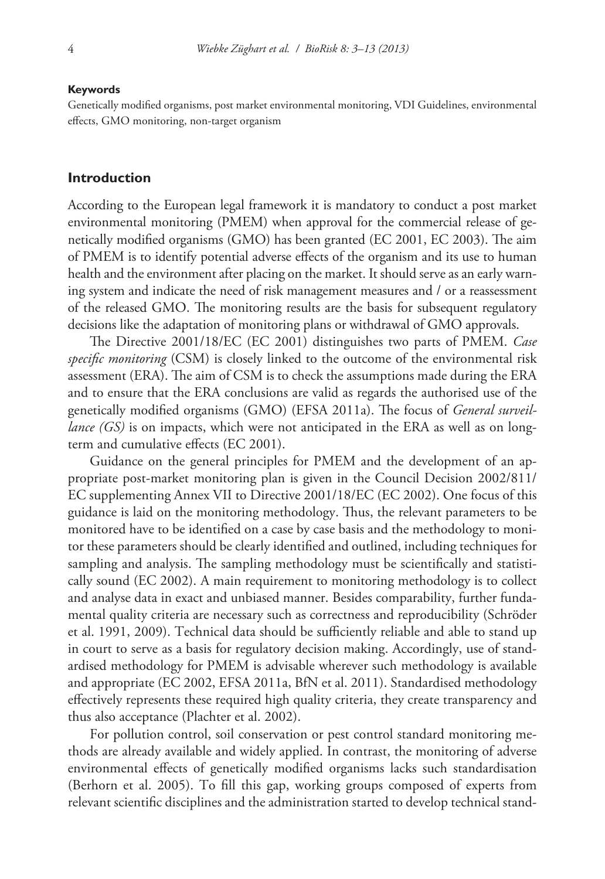#### **Keywords**

Genetically modified organisms, post market environmental monitoring, VDI Guidelines, environmental effects, GMO monitoring, non-target organism

#### **Introduction**

According to the European legal framework it is mandatory to conduct a post market environmental monitoring (PMEM) when approval for the commercial release of genetically modified organisms (GMO) has been granted (EC 2001, EC 2003). The aim of PMEM is to identify potential adverse effects of the organism and its use to human health and the environment after placing on the market. It should serve as an early warning system and indicate the need of risk management measures and / or a reassessment of the released GMO. The monitoring results are the basis for subsequent regulatory decisions like the adaptation of monitoring plans or withdrawal of GMO approvals.

The Directive 2001/18/EC (EC 2001) distinguishes two parts of PMEM. *Case specific monitoring* (CSM) is closely linked to the outcome of the environmental risk assessment (ERA). The aim of CSM is to check the assumptions made during the ERA and to ensure that the ERA conclusions are valid as regards the authorised use of the genetically modified organisms (GMO) (EFSA 2011a). The focus of *General surveillance (GS)* is on impacts, which were not anticipated in the ERA as well as on longterm and cumulative effects (EC 2001).

Guidance on the general principles for PMEM and the development of an appropriate post-market monitoring plan is given in the Council Decision 2002/811/ EC supplementing Annex VII to Directive 2001/18/EC (EC 2002). One focus of this guidance is laid on the monitoring methodology. Thus, the relevant parameters to be monitored have to be identified on a case by case basis and the methodology to monitor these parameters should be clearly identified and outlined, including techniques for sampling and analysis. The sampling methodology must be scientifically and statistically sound (EC 2002). A main requirement to monitoring methodology is to collect and analyse data in exact and unbiased manner. Besides comparability, further fundamental quality criteria are necessary such as correctness and reproducibility (Schröder et al. 1991, 2009). Technical data should be sufficiently reliable and able to stand up in court to serve as a basis for regulatory decision making. Accordingly, use of standardised methodology for PMEM is advisable wherever such methodology is available and appropriate (EC 2002, EFSA 2011a, BfN et al. 2011). Standardised methodology effectively represents these required high quality criteria, they create transparency and thus also acceptance (Plachter et al. 2002).

For pollution control, soil conservation or pest control standard monitoring methods are already available and widely applied. In contrast, the monitoring of adverse environmental effects of genetically modified organisms lacks such standardisation (Berhorn et al. 2005). To fill this gap, working groups composed of experts from relevant scientific disciplines and the administration started to develop technical stand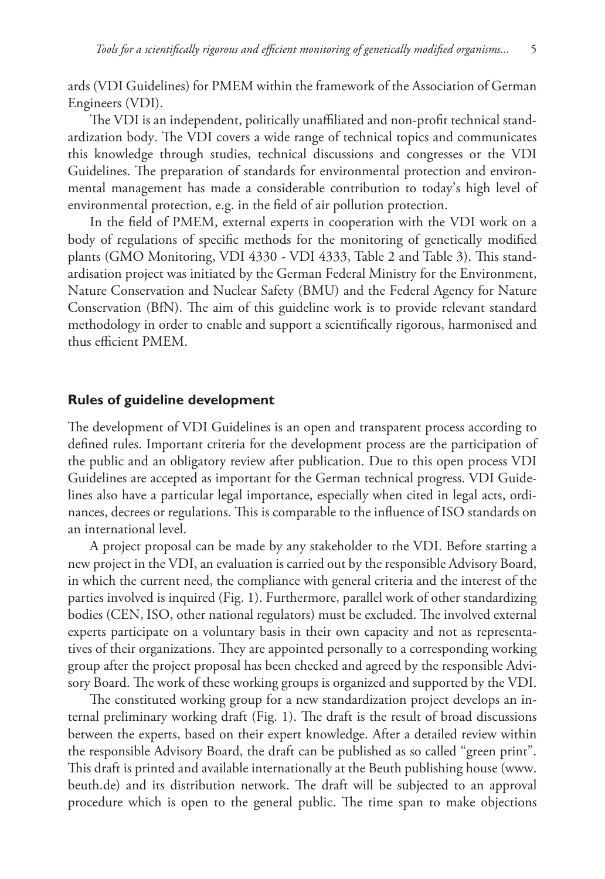ards (VDI Guidelines) for PMEM within the framework of the Association of German Engineers (VDI).

The VDI is an independent, politically unaffiliated and non-profit technical standardization body. The VDI covers a wide range of technical topics and communicates this knowledge through studies, technical discussions and congresses or the VDI Guidelines. The preparation of standards for environmental protection and environmental management has made a considerable contribution to today's high level of environmental protection, e.g. in the field of air pollution protection.

In the field of PMEM, external experts in cooperation with the VDI work on a body of regulations of specific methods for the monitoring of genetically modified plants (GMO Monitoring, VDI 4330 - VDI 4333, Table 2 and Table 3). This standardisation project was initiated by the German Federal Ministry for the Environment, Nature Conservation and Nuclear Safety (BMU) and the Federal Agency for Nature Conservation (BfN). The aim of this guideline work is to provide relevant standard methodology in order to enable and support a scientifically rigorous, harmonised and thus efficient PMEM.

### **Rules of guideline development**

The development of VDI Guidelines is an open and transparent process according to defined rules. Important criteria for the development process are the participation of the public and an obligatory review after publication. Due to this open process VDI Guidelines are accepted as important for the German technical progress. VDI Guidelines also have a particular legal importance, especially when cited in legal acts, ordinances, decrees or regulations. This is comparable to the influence of ISO standards on an international level.

A project proposal can be made by any stakeholder to the VDI. Before starting a new project in the VDI, an evaluation is carried out by the responsible Advisory Board, in which the current need, the compliance with general criteria and the interest of the parties involved is inquired (Fig. 1). Furthermore, parallel work of other standardizing bodies (CEN, ISO, other national regulators) must be excluded. The involved external experts participate on a voluntary basis in their own capacity and not as representatives of their organizations. They are appointed personally to a corresponding working group after the project proposal has been checked and agreed by the responsible Advisory Board. The work of these working groups is organized and supported by the VDI.

The constituted working group for a new standardization project develops an internal preliminary working draft (Fig. 1). The draft is the result of broad discussions between the experts, based on their expert knowledge. After a detailed review within the responsible Advisory Board, the draft can be published as so called "green print". This draft is printed and available internationally at the Beuth publishing house ([www.](http://www.beuth.de) [beuth.de\)](http://www.beuth.de) and its distribution network. The draft will be subjected to an approval procedure which is open to the general public. The time span to make objections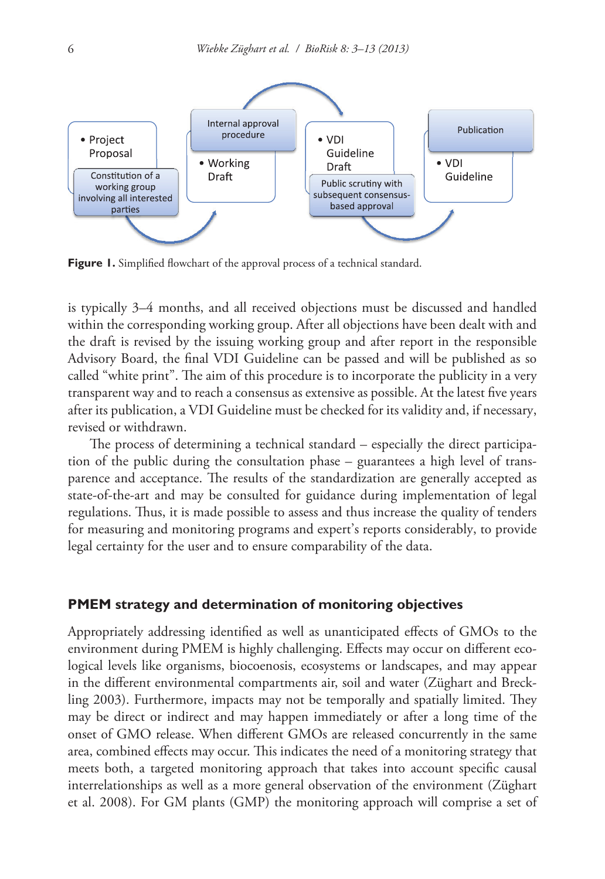

Figure 1. Simplified flowchart of the approval process of a technical standard.

is typically 3–4 months, and all received objections must be discussed and handled within the corresponding working group. After all objections have been dealt with and the draft is revised by the issuing working group and after report in the responsible Advisory Board, the final VDI Guideline can be passed and will be published as so called "white print". The aim of this procedure is to incorporate the publicity in a very transparent way and to reach a consensus as extensive as possible. At the latest five years after its publication, a VDI Guideline must be checked for its validity and, if necessary, revised or withdrawn.

The process of determining a technical standard – especially the direct participation of the public during the consultation phase – guarantees a high level of transparence and acceptance. The results of the standardization are generally accepted as state-of-the-art and may be consulted for guidance during implementation of legal regulations. Thus, it is made possible to assess and thus increase the quality of tenders for measuring and monitoring programs and expert's reports considerably, to provide legal certainty for the user and to ensure comparability of the data.

## **PMEM strategy and determination of monitoring objectives**

Appropriately addressing identified as well as unanticipated effects of GMOs to the environment during PMEM is highly challenging. Effects may occur on different ecological levels like organisms, biocoenosis, ecosystems or landscapes, and may appear in the different environmental compartments air, soil and water (Züghart and Breckling 2003). Furthermore, impacts may not be temporally and spatially limited. They may be direct or indirect and may happen immediately or after a long time of the onset of GMO release. When different GMOs are released concurrently in the same area, combined effects may occur. This indicates the need of a monitoring strategy that meets both, a targeted monitoring approach that takes into account specific causal interrelationships as well as a more general observation of the environment (Züghart et al. 2008). For GM plants (GMP) the monitoring approach will comprise a set of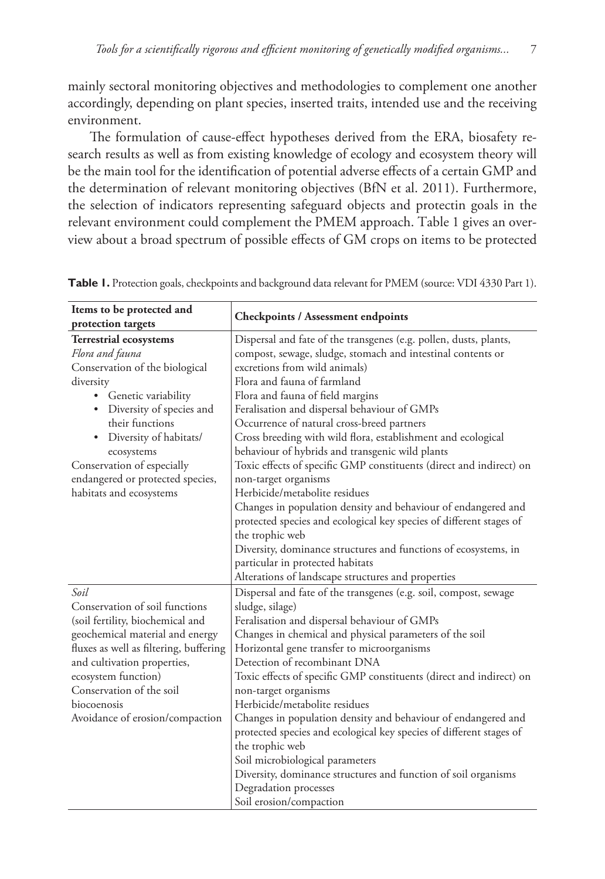mainly sectoral monitoring objectives and methodologies to complement one another accordingly, depending on plant species, inserted traits, intended use and the receiving environment.

The formulation of cause-effect hypotheses derived from the ERA, biosafety research results as well as from existing knowledge of ecology and ecosystem theory will be the main tool for the identification of potential adverse effects of a certain GMP and the determination of relevant monitoring objectives (BfN et al. 2011). Furthermore, the selection of indicators representing safeguard objects and protectin goals in the relevant environment could complement the PMEM approach. Table 1 gives an overview about a broad spectrum of possible effects of GM crops on items to be protected

| Items to be protected and              | <b>Checkpoints / Assessment endpoints</b>                           |
|----------------------------------------|---------------------------------------------------------------------|
| protection targets                     |                                                                     |
| <b>Terrestrial ecosystems</b>          | Dispersal and fate of the transgenes (e.g. pollen, dusts, plants,   |
| Flora and fauna                        | compost, sewage, sludge, stomach and intestinal contents or         |
| Conservation of the biological         | excretions from wild animals)                                       |
| diversity                              | Flora and fauna of farmland                                         |
| • Genetic variability                  | Flora and fauna of field margins                                    |
| • Diversity of species and             | Feralisation and dispersal behaviour of GMPs                        |
| their functions                        | Occurrence of natural cross-breed partners                          |
| Diversity of habitats/<br>$\bullet$    | Cross breeding with wild flora, establishment and ecological        |
| ecosystems                             | behaviour of hybrids and transgenic wild plants                     |
| Conservation of especially             | Toxic effects of specific GMP constituents (direct and indirect) on |
| endangered or protected species,       | non-target organisms                                                |
| habitats and ecosystems                | Herbicide/metabolite residues                                       |
|                                        | Changes in population density and behaviour of endangered and       |
|                                        | protected species and ecological key species of different stages of |
|                                        | the trophic web                                                     |
|                                        | Diversity, dominance structures and functions of ecosystems, in     |
|                                        | particular in protected habitats                                    |
|                                        | Alterations of landscape structures and properties                  |
| Soil                                   | Dispersal and fate of the transgenes (e.g. soil, compost, sewage    |
| Conservation of soil functions         | sludge, silage)                                                     |
| (soil fertility, biochemical and       | Feralisation and dispersal behaviour of GMPs                        |
| geochemical material and energy        | Changes in chemical and physical parameters of the soil             |
| fluxes as well as filtering, buffering | Horizontal gene transfer to microorganisms                          |
| and cultivation properties,            | Detection of recombinant DNA                                        |
| ecosystem function)                    | Toxic effects of specific GMP constituents (direct and indirect) on |
| Conservation of the soil               | non-target organisms                                                |
| biocoenosis                            | Herbicide/metabolite residues                                       |
| Avoidance of erosion/compaction        | Changes in population density and behaviour of endangered and       |
|                                        | protected species and ecological key species of different stages of |
|                                        | the trophic web                                                     |
|                                        | Soil microbiological parameters                                     |
|                                        | Diversity, dominance structures and function of soil organisms      |
|                                        | Degradation processes                                               |
|                                        | Soil erosion/compaction                                             |

**Table 1.** Protection goals, checkpoints and background data relevant for PMEM (source: VDI 4330 Part 1).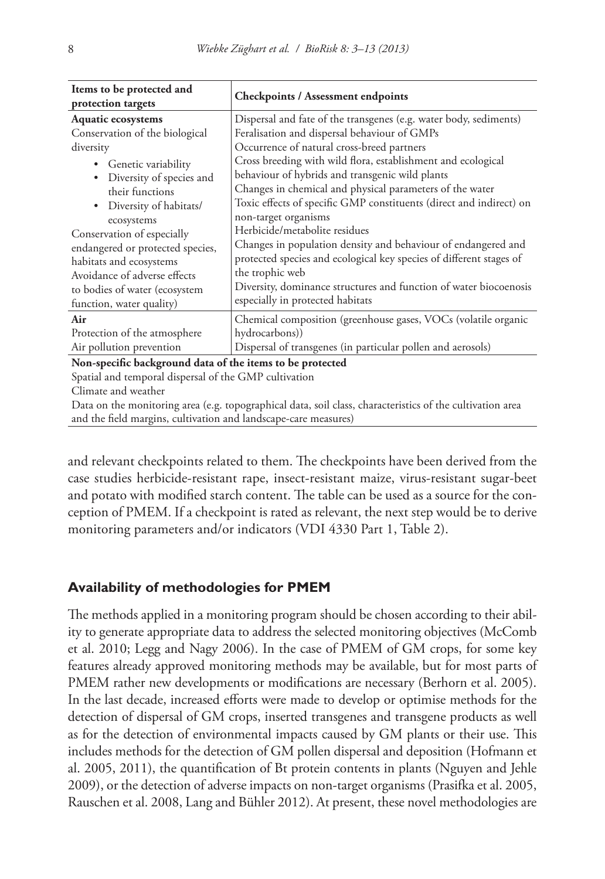| Items to be protected and                                                                                 |                                                                     |  |
|-----------------------------------------------------------------------------------------------------------|---------------------------------------------------------------------|--|
| protection targets                                                                                        | <b>Checkpoints / Assessment endpoints</b>                           |  |
| <b>Aquatic ecosystems</b>                                                                                 | Dispersal and fate of the transgenes (e.g. water body, sediments)   |  |
| Conservation of the biological                                                                            | Feralisation and dispersal behaviour of GMPs                        |  |
| diversity                                                                                                 | Occurrence of natural cross-breed partners                          |  |
| • Genetic variability                                                                                     | Cross breeding with wild flora, establishment and ecological        |  |
| Diversity of species and<br>٠                                                                             | behaviour of hybrids and transgenic wild plants                     |  |
| their functions                                                                                           | Changes in chemical and physical parameters of the water            |  |
| Diversity of habitats/<br>٠                                                                               | Toxic effects of specific GMP constituents (direct and indirect) on |  |
| ecosystems                                                                                                | non-target organisms                                                |  |
| Conservation of especially                                                                                | Herbicide/metabolite residues                                       |  |
| endangered or protected species,                                                                          | Changes in population density and behaviour of endangered and       |  |
| habitats and ecosystems                                                                                   | protected species and ecological key species of different stages of |  |
| Avoidance of adverse effects                                                                              | the trophic web                                                     |  |
| to bodies of water (ecosystem                                                                             | Diversity, dominance structures and function of water biocoenosis   |  |
| function, water quality)                                                                                  | especially in protected habitats                                    |  |
| Air                                                                                                       | Chemical composition (greenhouse gases, VOCs (volatile organic      |  |
| Protection of the atmosphere                                                                              | hydrocarbons))                                                      |  |
| Air pollution prevention                                                                                  | Dispersal of transgenes (in particular pollen and aerosols)         |  |
| Non-specific background data of the items to be protected                                                 |                                                                     |  |
| Spatial and temporal dispersal of the GMP cultivation                                                     |                                                                     |  |
| Climate and weather                                                                                       |                                                                     |  |
| Data on the monitoring area (e.g. topographical data, soil class, characteristics of the cultivation area |                                                                     |  |

Data on the monitoring area (e.g. topographical data, soil class, characteristics of the cultivation area and the field margins, cultivation and landscape-care measures)

and relevant checkpoints related to them. The checkpoints have been derived from the case studies herbicide-resistant rape, insect-resistant maize, virus-resistant sugar-beet and potato with modified starch content. The table can be used as a source for the conception of PMEM. If a checkpoint is rated as relevant, the next step would be to derive monitoring parameters and/or indicators (VDI 4330 Part 1, Table 2).

## **Availability of methodologies for PMEM**

The methods applied in a monitoring program should be chosen according to their ability to generate appropriate data to address the selected monitoring objectives (McComb et al. 2010; Legg and Nagy 2006). In the case of PMEM of GM crops, for some key features already approved monitoring methods may be available, but for most parts of PMEM rather new developments or modifications are necessary (Berhorn et al. 2005). In the last decade, increased efforts were made to develop or optimise methods for the detection of dispersal of GM crops, inserted transgenes and transgene products as well as for the detection of environmental impacts caused by GM plants or their use. This includes methods for the detection of GM pollen dispersal and deposition (Hofmann et al. 2005, 2011), the quantification of Bt protein contents in plants (Nguyen and Jehle 2009), or the detection of adverse impacts on non-target organisms (Prasifka et al. 2005, Rauschen et al. 2008, Lang and Bühler 2012). At present, these novel methodologies are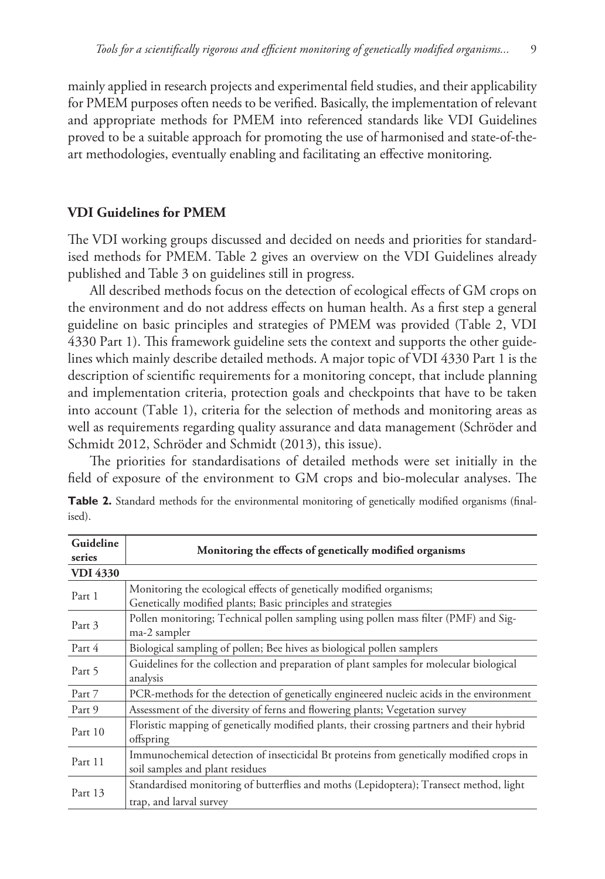mainly applied in research projects and experimental field studies, and their applicability for PMEM purposes often needs to be verified. Basically, the implementation of relevant and appropriate methods for PMEM into referenced standards like VDI Guidelines proved to be a suitable approach for promoting the use of harmonised and state-of-theart methodologies, eventually enabling and facilitating an effective monitoring.

#### **VDI Guidelines for PMEM**

The VDI working groups discussed and decided on needs and priorities for standardised methods for PMEM. Table 2 gives an overview on the VDI Guidelines already published and Table 3 on guidelines still in progress.

All described methods focus on the detection of ecological effects of GM crops on the environment and do not address effects on human health. As a first step a general guideline on basic principles and strategies of PMEM was provided (Table 2, VDI 4330 Part 1). This framework guideline sets the context and supports the other guidelines which mainly describe detailed methods. A major topic of VDI 4330 Part 1 is the description of scientific requirements for a monitoring concept, that include planning and implementation criteria, protection goals and checkpoints that have to be taken into account (Table 1), criteria for the selection of methods and monitoring areas as well as requirements regarding quality assurance and data management (Schröder and Schmidt 2012, Schröder and Schmidt (2013), this issue).

The priorities for standardisations of detailed methods were set initially in the field of exposure of the environment to GM crops and bio-molecular analyses. The

| Guideline       | Monitoring the effects of genetically modified organisms                                                                             |  |
|-----------------|--------------------------------------------------------------------------------------------------------------------------------------|--|
| series          |                                                                                                                                      |  |
| <b>VDI</b> 4330 |                                                                                                                                      |  |
| Part 1          | Monitoring the ecological effects of genetically modified organisms;<br>Genetically modified plants; Basic principles and strategies |  |
| Part 3          | Pollen monitoring; Technical pollen sampling using pollen mass filter (PMF) and Sig-<br>ma-2 sampler                                 |  |
| Part 4          | Biological sampling of pollen; Bee hives as biological pollen samplers                                                               |  |
| Part 5          | Guidelines for the collection and preparation of plant samples for molecular biological<br>analysis                                  |  |
| Part 7          | PCR-methods for the detection of genetically engineered nucleic acids in the environment                                             |  |
| Part 9          | Assessment of the diversity of ferns and flowering plants; Vegetation survey                                                         |  |
| Part 10         | Floristic mapping of genetically modified plants, their crossing partners and their hybrid<br>offspring                              |  |
| Part 11         | Immunochemical detection of insecticidal Bt proteins from genetically modified crops in<br>soil samples and plant residues           |  |
| Part 13         | Standardised monitoring of butterflies and moths (Lepidoptera); Transect method, light<br>trap, and larval survey                    |  |

**Table 2.** Standard methods for the environmental monitoring of genetically modified organisms (finalised).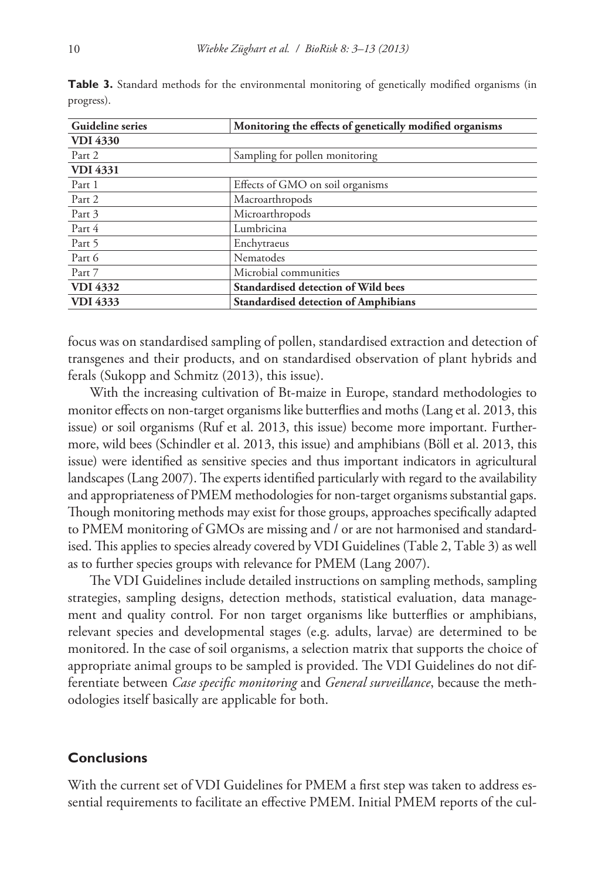| <b>Guideline series</b> | Monitoring the effects of genetically modified organisms |
|-------------------------|----------------------------------------------------------|
| <b>VDI</b> 4330         |                                                          |
| Part 2                  | Sampling for pollen monitoring                           |
| <b>VDI</b> 4331         |                                                          |
| Part 1                  | Effects of GMO on soil organisms                         |
| Part 2                  | Macroarthropods                                          |
| Part 3                  | Microarthropods                                          |
| Part 4                  | Lumbricina                                               |
| Part 5                  | Enchytraeus                                              |
| Part 6                  | Nematodes                                                |
| Part 7                  | Microbial communities                                    |
| <b>VDI</b> 4332         | Standardised detection of Wild bees                      |
| <b>VDI</b> 4333         | <b>Standardised detection of Amphibians</b>              |

**Table 3.** Standard methods for the environmental monitoring of genetically modified organisms (in progress).

focus was on standardised sampling of pollen, standardised extraction and detection of transgenes and their products, and on standardised observation of plant hybrids and ferals (Sukopp and Schmitz (2013), this issue).

With the increasing cultivation of Bt-maize in Europe, standard methodologies to monitor effects on non-target organisms like butterflies and moths (Lang et al. 2013, this issue) or soil organisms (Ruf et al. 2013, this issue) become more important. Furthermore, wild bees (Schindler et al. 2013, this issue) and amphibians (Böll et al. 2013, this issue) were identified as sensitive species and thus important indicators in agricultural landscapes (Lang 2007). The experts identified particularly with regard to the availability and appropriateness of PMEM methodologies for non-target organisms substantial gaps. Though monitoring methods may exist for those groups, approaches specifically adapted to PMEM monitoring of GMOs are missing and / or are not harmonised and standardised. This applies to species already covered by VDI Guidelines (Table 2, Table 3) as well as to further species groups with relevance for PMEM (Lang 2007).

The VDI Guidelines include detailed instructions on sampling methods, sampling strategies, sampling designs, detection methods, statistical evaluation, data management and quality control. For non target organisms like butterflies or amphibians, relevant species and developmental stages (e.g. adults, larvae) are determined to be monitored. In the case of soil organisms, a selection matrix that supports the choice of appropriate animal groups to be sampled is provided. The VDI Guidelines do not differentiate between *Case specific monitoring* and *General surveillance*, because the methodologies itself basically are applicable for both.

## **Conclusions**

With the current set of VDI Guidelines for PMEM a first step was taken to address essential requirements to facilitate an effective PMEM. Initial PMEM reports of the cul-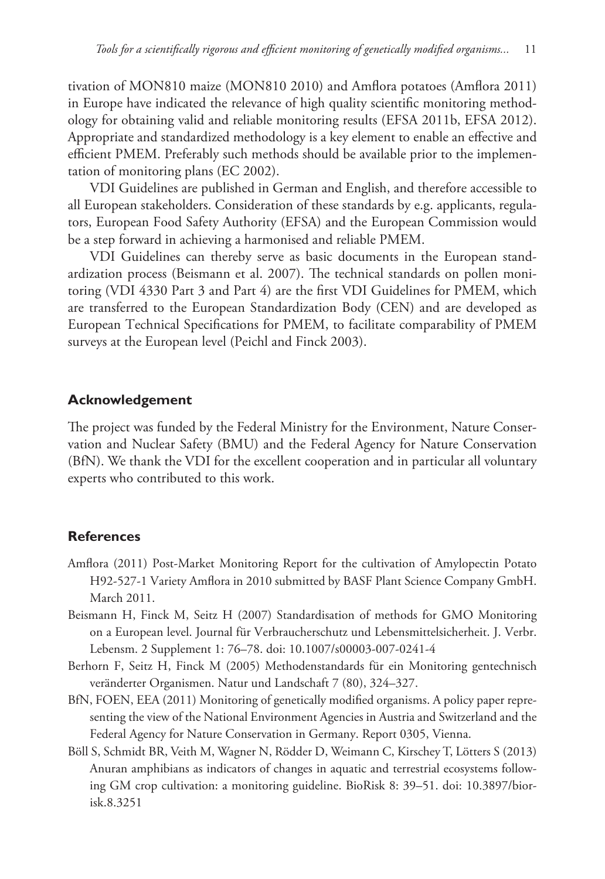tivation of MON810 maize (MON810 2010) and Amflora potatoes (Amflora 2011) in Europe have indicated the relevance of high quality scientific monitoring methodology for obtaining valid and reliable monitoring results (EFSA 2011b, EFSA 2012). Appropriate and standardized methodology is a key element to enable an effective and efficient PMEM. Preferably such methods should be available prior to the implementation of monitoring plans (EC 2002).

VDI Guidelines are published in German and English, and therefore accessible to all European stakeholders. Consideration of these standards by e.g. applicants, regulators, European Food Safety Authority (EFSA) and the European Commission would be a step forward in achieving a harmonised and reliable PMEM.

VDI Guidelines can thereby serve as basic documents in the European standardization process (Beismann et al. 2007). The technical standards on pollen monitoring (VDI 4330 Part 3 and Part 4) are the first VDI Guidelines for PMEM, which are transferred to the European Standardization Body (CEN) and are developed as European Technical Specifications for PMEM, to facilitate comparability of PMEM surveys at the European level (Peichl and Finck 2003).

## **Acknowledgement**

The project was funded by the Federal Ministry for the Environment, Nature Conservation and Nuclear Safety (BMU) and the Federal Agency for Nature Conservation (BfN). We thank the VDI for the excellent cooperation and in particular all voluntary experts who contributed to this work.

## **References**

- Amflora (2011) Post-Market Monitoring Report for the cultivation of Amylopectin Potato H92-527-1 Variety Amflora in 2010 submitted by BASF Plant Science Company GmbH. March 2011.
- Beismann H, Finck M, Seitz H (2007) Standardisation of methods for GMO Monitoring on a European level. Journal für Verbraucherschutz und Lebensmittelsicherheit. J. Verbr. Lebensm. 2 Supplement 1: 76–78. [doi: 10.1007/s00003-007-0241-4](http://dx.doi.org/10.1007/s00003-007-0241-4)
- Berhorn F, Seitz H, Finck M (2005) Methodenstandards für ein Monitoring gentechnisch veränderter Organismen. Natur und Landschaft 7 (80), 324–327.
- BfN, FOEN, EEA (2011) Monitoring of genetically modified organisms. A policy paper representing the view of the National Environment Agencies in Austria and Switzerland and the Federal Agency for Nature Conservation in Germany. Report 0305, Vienna.
- Böll S, Schmidt BR, Veith M, Wagner N, Rödder D, Weimann C, Kirschey T, Lötters S (2013) Anuran amphibians as indicators of changes in aquatic and terrestrial ecosystems following GM crop cultivation: a monitoring guideline. BioRisk 8: 39–51. [doi: 10.3897/bior](http://dx.doi.org/10.3897/biorisk.8.3251)[isk.8.3251](http://dx.doi.org/10.3897/biorisk.8.3251)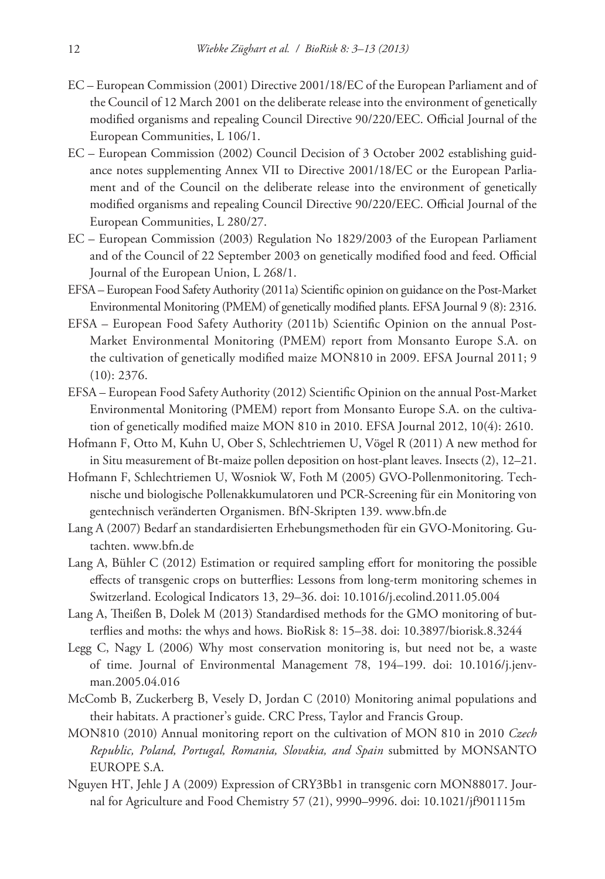- EC European Commission (2001) Directive 2001/18/EC of the European Parliament and of the Council of 12 March 2001 on the deliberate release into the environment of genetically modified organisms and repealing Council Directive 90/220/EEC. Official Journal of the European Communities, L 106/1.
- EC European Commission (2002) Council Decision of 3 October 2002 establishing guidance notes supplementing Annex VII to Directive 2001/18/EC or the European Parliament and of the Council on the deliberate release into the environment of genetically modified organisms and repealing Council Directive 90/220/EEC. Official Journal of the European Communities, L 280/27.
- EC European Commission (2003) Regulation No 1829/2003 of the European Parliament and of the Council of 22 September 2003 on genetically modified food and feed. Official Journal of the European Union, L 268/1.
- EFSA European Food Safety Authority (2011a) Scientific opinion on guidance on the Post-Market Environmental Monitoring (PMEM) of genetically modified plants. EFSA Journal 9 (8): 2316.
- EFSA European Food Safety Authority (2011b) Scientific Opinion on the annual Post-Market Environmental Monitoring (PMEM) report from Monsanto Europe S.A. on the cultivation of genetically modified maize MON810 in 2009. EFSA Journal 2011; 9 (10): 2376.
- EFSA European Food Safety Authority (2012) Scientific Opinion on the annual Post-Market Environmental Monitoring (PMEM) report from Monsanto Europe S.A. on the cultivation of genetically modified maize MON 810 in 2010. EFSA Journal 2012, 10(4): 2610.
- Hofmann F, Otto M, Kuhn U, Ober S, Schlechtriemen U, Vögel R (2011) A new method for in Situ measurement of Bt-maize pollen deposition on host-plant leaves. Insects (2), 12–21.
- Hofmann F, Schlechtriemen U, Wosniok W, Foth M (2005) GVO-Pollenmonitoring. Technische und biologische Pollenakkumulatoren und PCR-Screening für ein Monitoring von gentechnisch veränderten Organismen. BfN-Skripten 139.<www.bfn.de>
- Lang A (2007) Bedarf an standardisierten Erhebungsmethoden für ein GVO-Monitoring. Gutachten. [www.bfn.de](http://www.bfn.de)
- Lang A, Bühler C (2012) Estimation or required sampling effort for monitoring the possible effects of transgenic crops on butterflies: Lessons from long-term monitoring schemes in Switzerland. Ecological Indicators 13, 29–36. [doi: 10.1016/j.ecolind.2011.05.004](http://dx.doi.org/10.1016/j.ecolind.2011.05.004)
- Lang A, Theißen B, Dolek M (2013) Standardised methods for the GMO monitoring of butterflies and moths: the whys and hows. BioRisk 8: 15–38. [doi: 10.3897/biorisk.8.3244](http://dx.doi.org/10.3897/biorisk.8.3244)
- Legg C, Nagy L (2006) Why most conservation monitoring is, but need not be, a waste of time. Journal of Environmental Management 78, 194–199. [doi: 10.1016/j.jenv](http://dx.doi.org/10.1016/j.jenvman.2005.04.016)[man.2005.04.016](http://dx.doi.org/10.1016/j.jenvman.2005.04.016)
- McComb B, Zuckerberg B, Vesely D, Jordan C (2010) Monitoring animal populations and their habitats. A practioner's guide. CRC Press, Taylor and Francis Group.
- MON810 (2010) Annual monitoring report on the cultivation of MON 810 in 2010 *Czech Republic, Poland, Portugal, Romania, Slovakia, and Spain* submitted by MONSANTO EUROPE S.A.
- Nguyen HT, Jehle J A (2009) Expression of CRY3Bb1 in transgenic corn MON88017. Journal for Agriculture and Food Chemistry 57 (21), 9990–9996. [doi: 10.1021/jf901115m](http://dx.doi.org/10.1021/jf901115m)